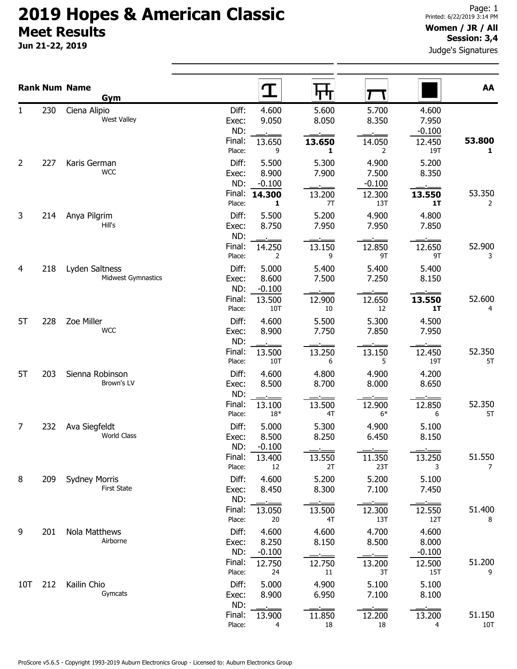### 2019 Hopes & American Classic Meet Results

Jun 21-22, 2019

### Women / JR / All Session: 3,4

Judge's Signatures

|                |     | <b>Rank Num Name</b><br>Gym                |                       | Т<br>पाण                                     |                            |                            | AA            |
|----------------|-----|--------------------------------------------|-----------------------|----------------------------------------------|----------------------------|----------------------------|---------------|
| $\mathbf{1}$   | 230 | Ciena Alipio<br><b>West Valley</b>         | Diff:<br>Exec:<br>ND: | 4.600<br>5.600<br>9.050<br>8.050             | 5.700<br>8.350             | 4.600<br>7.950<br>$-0.100$ |               |
|                |     |                                            | Final:<br>Place:      | 13.650<br>13.650<br>9<br>1                   | 14.050<br>2                | 12.450<br>19T              | 53.800<br>1   |
| $\overline{2}$ | 227 | Karis German<br><b>WCC</b>                 | Diff:<br>Exec:<br>ND: | 5.300<br>5.500<br>8.900<br>7.900<br>$-0.100$ | 4.900<br>7.500<br>$-0.100$ | 5.200<br>8.350             |               |
|                |     |                                            | Final:<br>Place:      | 14.300<br>13.200<br>1<br>7T                  | 12.300<br>13T              | 13.550<br>1T               | 53.350<br>2   |
| 3              | 214 | Anya Pilgrim<br>Hill's                     | Diff:<br>Exec:<br>ND: | 5.500<br>5.200<br>8.750<br>7.950             | 4.900<br>7.950             | 4.800<br>7.850             |               |
|                |     |                                            | Final:<br>Place:      | 14.250<br>13.150<br>2<br>9                   | 12.850<br>9T               | 12.650<br>9T               | 52.900<br>3   |
| 4              | 218 | Lyden Saltness<br>Midwest Gymnastics       | Diff:<br>Exec:<br>ND: | 5.000<br>5.400<br>8.600<br>7.500<br>$-0.100$ | 5.400<br>7.250             | 5.400<br>8.150             |               |
|                |     |                                            | Final:<br>Place:      | 13.500<br>12.900<br>10T<br>$10\,$            | 12.650<br>12               | 13.550<br>1T               | 52.600<br>4   |
| 5T             | 228 | Zoe Miller<br><b>WCC</b>                   | Diff:<br>Exec:<br>ND: | 4.600<br>5.500<br>8.900<br>7.750             | 5.300<br>7.850             | 4.500<br>7.950             |               |
|                |     |                                            | Final:<br>Place:      | 13.500<br>13.250<br>10T<br>6                 | 13.150<br>5                | 12.450<br>19T              | 52.350<br>5T  |
| 5T             | 203 | Sienna Robinson<br>Brown's LV              | Diff:<br>Exec:<br>ND: | 4.600<br>4.800<br>8.500<br>8.700             | 4.900<br>8.000             | 4.200<br>8.650             |               |
|                |     |                                            | Final:<br>Place:      | 13.100<br>13.500<br>$18*$<br>4T              | 12.900<br>$6*$             | 12.850<br>6                | 52.350<br>5T  |
| 7              | 232 | Ava Siegfeldt<br><b>World Class</b>        | Diff:<br>Exec:<br>ND: | 5.000<br>5.300<br>8.500<br>8.250<br>$-0.100$ | 4.900<br>6.450             | 5.100<br>8.150             |               |
|                |     |                                            | Final:<br>Place:      | 13.400<br>13.550<br>2T<br>12                 | 11.350<br>23T              | 13.250<br>3                | 51.550<br>7   |
| 8              | 209 | <b>Sydney Morris</b><br><b>First State</b> | Diff:<br>Exec:<br>ND: | 5.200<br>4.600<br>8.300<br>8.450             | 5.200<br>7.100             | 5.100<br>7.450             |               |
|                |     |                                            | Final:<br>Place:      | 13.500<br>13.050<br>4T<br>20                 | 12.300<br>13T              | 12.550<br>12T              | 51.400<br>8   |
| 9              | 201 | Nola Matthews<br>Airborne                  | Diff:<br>Exec:<br>ND: | 4.600<br>4.600<br>8.250<br>8.150<br>$-0.100$ | 4.700<br>8.500             | 4.600<br>8.000<br>$-0.100$ |               |
|                |     |                                            | Final:<br>Place:      | 12.750<br>12.750<br>11<br>24                 | 13.200<br>3T               | 12.500<br>15T              | 51.200<br>9   |
| 10T            | 212 | Kailin Chio<br>Gymcats                     | Diff:<br>Exec:<br>ND: | 4.900<br>5.000<br>6.950<br>8.900             | 5.100<br>7.100<br>$\sim$   | 5.100<br>8.100             |               |
|                |     |                                            | Final:<br>Place:      | 11.850<br>13.900<br>18<br>4                  | 12.200<br>18               | 13.200<br>4                | 51.150<br>10T |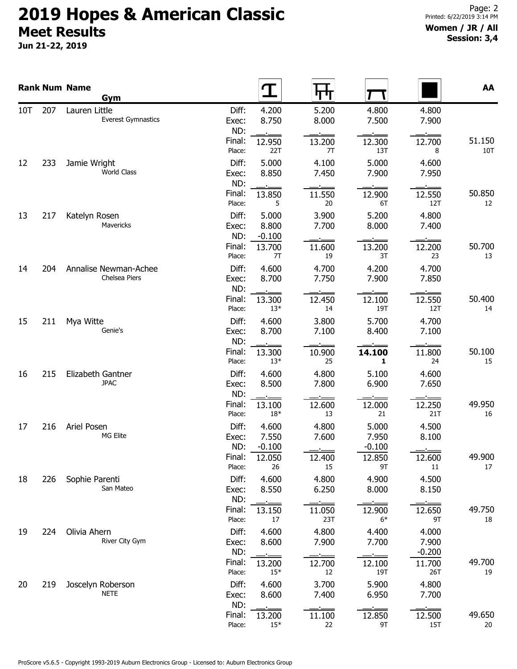# 2019 Hopes & American Classic Meet Results

Jun 21-22, 2019

#### Women / JR / All Session: 3,4

|     |     | <b>Rank Num Name</b><br>Gym                |                                                     |                |                            |                            | AA            |
|-----|-----|--------------------------------------------|-----------------------------------------------------|----------------|----------------------------|----------------------------|---------------|
| 10T | 207 | Lauren Little<br><b>Everest Gymnastics</b> | Diff:<br>4.200<br>8.750<br>Exec:<br>ND:             | 5.200<br>8.000 | 4.800<br>7.500             | 4.800<br>7.900             |               |
|     |     |                                            | Final:<br>12.950<br>22T<br>Place:                   | 13.200<br>7T   | 12.300<br>13T              | 12.700<br>8                | 51.150<br>10T |
| 12  | 233 | Jamie Wright<br><b>World Class</b>         | Diff:<br>5.000<br>8.850<br>Exec:<br>ND:             | 4.100<br>7.450 | 5.000<br>7.900             | 4.600<br>7.950             |               |
|     |     |                                            | Final:<br>13.850<br>Place:<br>5                     | 11.550<br>20   | 12.900<br>6T               | 12.550<br>12T              | 50.850<br>12  |
| 13  | 217 | Katelyn Rosen<br>Mavericks                 | Diff:<br>5.000<br>8.800<br>Exec:<br>ND:<br>$-0.100$ | 3.900<br>7.700 | 5.200<br>8.000             | 4.800<br>7.400             |               |
|     |     |                                            | Final:<br>13.700<br>Place:<br>7T                    | 11.600<br>19   | 13.200<br>3T               | 12.200<br>23               | 50.700<br>13  |
| 14  | 204 | Annalise Newman-Achee<br>Chelsea Piers     | Diff:<br>4.600<br>8.700<br>Exec:<br>ND:             | 4.700<br>7.750 | 4.200<br>7.900             | 4.700<br>7.850             |               |
|     |     |                                            | Final:<br>13.300<br>Place:<br>$13*$                 | 12.450<br>14   | 12.100<br>19T              | 12.550<br>12T              | 50.400<br>14  |
| 15  | 211 | Mya Witte<br>Genie's                       | Diff:<br>4.600<br>8.700<br>Exec:<br>ND:             | 3.800<br>7.100 | 5.700<br>8.400             | 4.700<br>7.100             |               |
|     |     |                                            | Final:<br>13.300<br>$13*$<br>Place:                 | 10.900<br>25   | 14.100<br>1                | 11.800<br>24               | 50.100<br>15  |
| 16  | 215 | Elizabeth Gantner<br><b>JPAC</b>           | 4.600<br>Diff:<br>8.500<br>Exec:<br>ND:             | 4.800<br>7.800 | 5.100<br>6.900             | 4.600<br>7.650             |               |
|     |     |                                            | Final:<br>13.100<br>$18*$<br>Place:                 | 12.600<br>13   | 12.000<br>21               | 12.250<br>21T              | 49.950<br>16  |
| 17  | 216 | Ariel Posen<br>MG Elite                    | Diff:<br>4.600<br>7.550<br>Exec:<br>ND:<br>$-0.100$ | 4.800<br>7.600 | 5.000<br>7.950<br>$-0.100$ | 4.500<br>8.100             |               |
|     |     |                                            | Final:<br>12.050<br>Place:<br>26                    | 12.400<br>15   | 12.850<br>9Τ               | 12.600<br>11               | 49.900<br>17  |
| 18  | 226 | Sophie Parenti<br>San Mateo                | Diff:<br>4.600<br>8.550<br>Exec:<br>ND:             | 4.800<br>6.250 | 4.900<br>8.000             | 4.500<br>8.150             |               |
|     |     |                                            | Final:<br>13.150<br>Place:<br>17                    | 11.050<br>23T  | 12.900<br>$6*$             | 12.650<br>9T               | 49.750<br>18  |
| 19  | 224 | Olivia Ahern<br>River City Gym             | Diff:<br>4.600<br>8.600<br>Exec:<br>ND:             | 4.800<br>7.900 | 4.400<br>7.700             | 4.000<br>7.900<br>$-0.200$ |               |
|     |     |                                            | Final:<br>13.200<br>$15*$<br>Place:                 | 12.700<br>12   | 12.100<br>19T              | 11.700<br>26T              | 49.700<br>19  |
| 20  | 219 | Joscelyn Roberson<br><b>NETE</b>           | Diff:<br>4.600<br>8.600<br>Exec:<br>ND:             | 3.700<br>7.400 | 5.900<br>6.950             | 4.800<br>7.700             |               |
|     |     |                                            | Final:<br>13.200<br>$15*$<br>Place:                 | 11.100<br>22   | 12.850<br>9T               | 12.500<br>15T              | 49.650<br>20  |